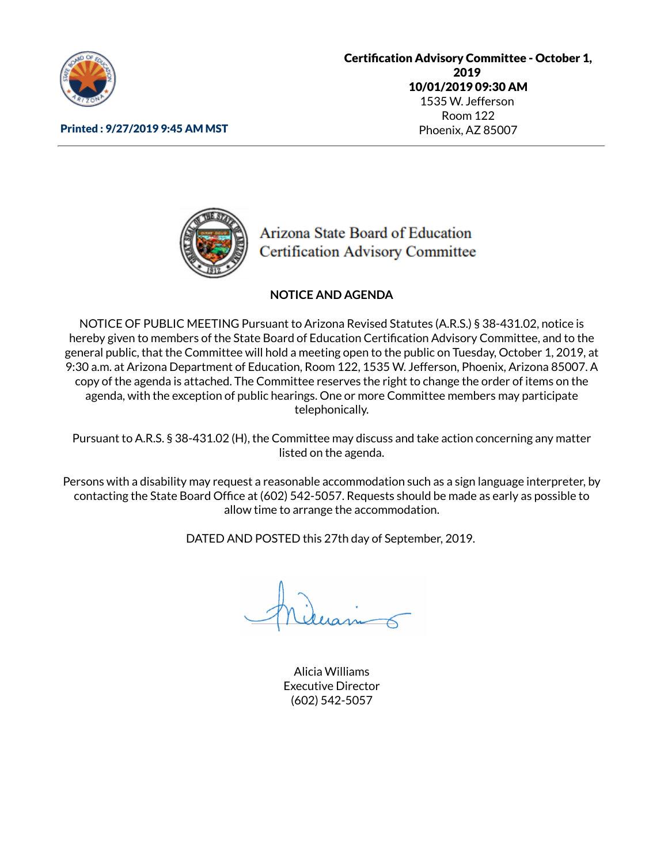

Printed : 9/27/2019 9:45 AM MST

**Certification Advisory Committee - October 1,** 2019 10/01/2019 09:30 AM 1535 W. Jefferson Room 122 Phoenix, AZ 85007

Arizona State Board of Education **Certification Advisory Committee** 

## **NOTICE AND AGENDA**

NOTICE OF PUBLIC MEETING Pursuant to Arizona Revised Statutes (A.R.S.) § 38-431.02, notice is hereby given to members of the State Board of Education Certification Advisory Committee, and to the general public, that the Committee will hold a meeting open to the public on Tuesday, October 1, 2019, at 9:30 a.m. at Arizona Department of Education, Room 122, 1535 W. Jefferson, Phoenix, Arizona 85007. A copy of the agenda is attached. The Committee reserves the right to change the order of items on the agenda, with the exception of public hearings. One or more Committee members may participate telephonically.

Pursuant to A.R.S. § 38-431.02 (H), the Committee may discuss and take action concerning any matter listed on the agenda.

Persons with a disability may request a reasonable accommodation such as a sign language interpreter, by contacting the State Board Office at (602) 542-5057. Requests should be made as early as possible to allow time to arrange the accommodation.

DATED AND POSTED this 27th day of September, 2019.

Alicia Williams Executive Director (602) 542-5057